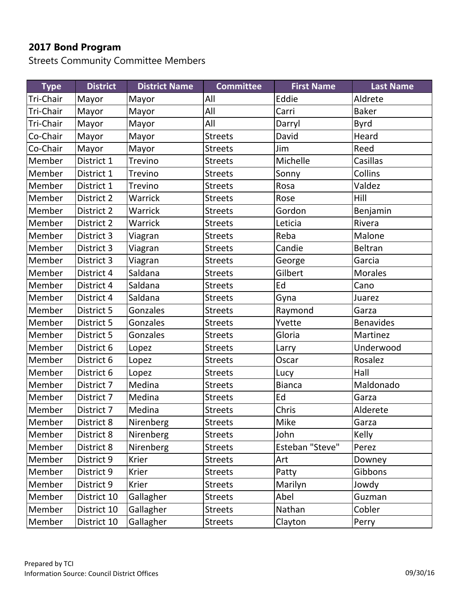Streets Community Committee Members

| <b>Type</b> | <b>District</b> | <b>District Name</b> | <b>Committee</b> | <b>First Name</b> | <b>Last Name</b> |
|-------------|-----------------|----------------------|------------------|-------------------|------------------|
| Tri-Chair   | Mayor           | Mayor                | All              | Eddie             | Aldrete          |
| Tri-Chair   | Mayor           | Mayor                | All              | Carri             | <b>Baker</b>     |
| Tri-Chair   | Mayor           | Mayor                | All              | Darryl            | Byrd             |
| Co-Chair    | Mayor           | Mayor                | <b>Streets</b>   | David             | Heard            |
| Co-Chair    | Mayor           | Mayor                | <b>Streets</b>   | Jim               | Reed             |
| Member      | District 1      | Trevino              | <b>Streets</b>   | Michelle          | Casillas         |
| Member      | District 1      | Trevino              | <b>Streets</b>   | Sonny             | Collins          |
| Member      | District 1      | <b>Trevino</b>       | <b>Streets</b>   | Rosa              | Valdez           |
| Member      | District 2      | Warrick              | <b>Streets</b>   | Rose              | Hill             |
| Member      | District 2      | <b>Warrick</b>       | <b>Streets</b>   | Gordon            | Benjamin         |
| Member      | District 2      | <b>Warrick</b>       | <b>Streets</b>   | Leticia           | Rivera           |
| Member      | District 3      | Viagran              | <b>Streets</b>   | Reba              | Malone           |
| Member      | District 3      | Viagran              | <b>Streets</b>   | Candie            | <b>Beltran</b>   |
| Member      | District 3      | Viagran              | <b>Streets</b>   | George            | Garcia           |
| Member      | District 4      | Saldana              | <b>Streets</b>   | Gilbert           | <b>Morales</b>   |
| Member      | District 4      | Saldana              | <b>Streets</b>   | Ed                | Cano             |
| Member      | District 4      | Saldana              | <b>Streets</b>   | Gyna              | Juarez           |
| Member      | District 5      | Gonzales             | <b>Streets</b>   | Raymond           | Garza            |
| Member      | District 5      | Gonzales             | <b>Streets</b>   | Yvette            | <b>Benavides</b> |
| Member      | District 5      | Gonzales             | <b>Streets</b>   | Gloria            | Martinez         |
| Member      | District 6      | Lopez                | <b>Streets</b>   | Larry             | Underwood        |
| Member      | District 6      | Lopez                | <b>Streets</b>   | Oscar             | Rosalez          |
| Member      | District 6      | Lopez                | <b>Streets</b>   | Lucy              | Hall             |
| Member      | District 7      | Medina               | <b>Streets</b>   | <b>Bianca</b>     | Maldonado        |
| Member      | District 7      | Medina               | <b>Streets</b>   | Ed                | Garza            |
| Member      | District 7      | Medina               | <b>Streets</b>   | Chris             | Alderete         |
| Member      | District 8      | Nirenberg            | <b>Streets</b>   | Mike              | Garza            |
| Member      | District 8      | Nirenberg            | <b>Streets</b>   | John              | Kelly            |
| Member      | District 8      | Nirenberg            | <b>Streets</b>   | Esteban "Steve"   | Perez            |
| Member      | District 9      | <b>Krier</b>         | <b>Streets</b>   | Art               | Downey           |
| Member      | District 9      | <b>Krier</b>         | <b>Streets</b>   | Patty             | Gibbons          |
| Member      | District 9      | <b>Krier</b>         | <b>Streets</b>   | Marilyn           | Jowdy            |
| Member      | District 10     | Gallagher            | <b>Streets</b>   | Abel              | Guzman           |
| Member      | District 10     | Gallagher            | <b>Streets</b>   | Nathan            | Cobler           |
| Member      | District 10     | Gallagher            | <b>Streets</b>   | Clayton           | Perry            |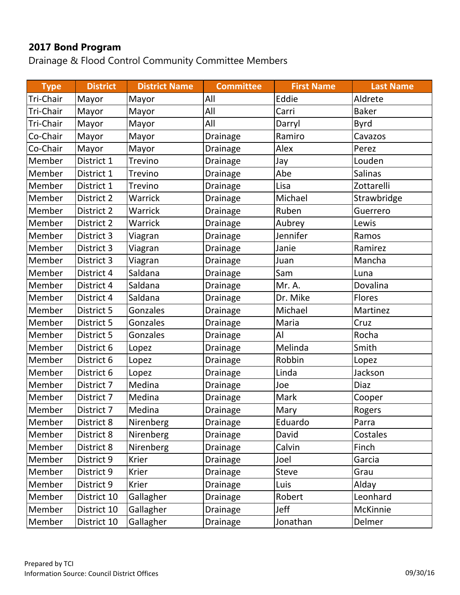Drainage & Flood Control Community Committee Members

| <b>Type</b> | <b>District</b> | <b>District Name</b> | <b>Committee</b> | <b>First Name</b> | <b>Last Name</b> |
|-------------|-----------------|----------------------|------------------|-------------------|------------------|
| Tri-Chair   | Mayor           | Mayor                | All              | Eddie             | Aldrete          |
| Tri-Chair   | Mayor           | Mayor                | All              | Carri             | <b>Baker</b>     |
| Tri-Chair   | Mayor           | Mayor                | All              | Darryl            | <b>Byrd</b>      |
| Co-Chair    | Mayor           | Mayor                | Drainage         | Ramiro            | Cavazos          |
| Co-Chair    | Mayor           | Mayor                | Drainage         | Alex              | Perez            |
| Member      | District 1      | Trevino              | Drainage         | Jay               | Louden           |
| Member      | District 1      | <b>Trevino</b>       | Drainage         | Abe               | <b>Salinas</b>   |
| Member      | District 1      | Trevino              | Drainage         | Lisa              | Zottarelli       |
| Member      | District 2      | Warrick              | Drainage         | Michael           | Strawbridge      |
| Member      | District 2      | <b>Warrick</b>       | Drainage         | Ruben             | Guerrero         |
| Member      | District 2      | Warrick              | Drainage         | Aubrey            | Lewis            |
| Member      | District 3      | Viagran              | Drainage         | Jennifer          | Ramos            |
| Member      | District 3      | Viagran              | Drainage         | Janie             | Ramirez          |
| Member      | District 3      | Viagran              | Drainage         | Juan              | Mancha           |
| Member      | District 4      | Saldana              | Drainage         | Sam               | Luna             |
| Member      | District 4      | Saldana              | Drainage         | Mr. A.            | Dovalina         |
| Member      | District 4      | Saldana              | Drainage         | Dr. Mike          | <b>Flores</b>    |
| Member      | District 5      | Gonzales             | Drainage         | Michael           | Martinez         |
| Member      | District 5      | Gonzales             | Drainage         | Maria             | Cruz             |
| Member      | District 5      | Gonzales             | <b>Drainage</b>  | AI                | Rocha            |
| Member      | District 6      | Lopez                | Drainage         | Melinda           | Smith            |
| Member      | District 6      | Lopez                | Drainage         | Robbin            | Lopez            |
| Member      | District 6      | Lopez                | Drainage         | Linda             | Jackson          |
| Member      | District 7      | Medina               | Drainage         | Joe               | <b>Diaz</b>      |
| Member      | District 7      | Medina               | Drainage         | Mark              | Cooper           |
| Member      | District 7      | Medina               | Drainage         | Mary              | Rogers           |
| Member      | District 8      | Nirenberg            | <b>Drainage</b>  | Eduardo           | Parra            |
| Member      | District 8      | Nirenberg            | Drainage         | David             | Costales         |
| Member      | District 8      | Nirenberg            | Drainage         | Calvin            | Finch            |
| Member      | District 9      | Krier                | Drainage         | Joel              | Garcia           |
| Member      | District 9      | Krier                | Drainage         | <b>Steve</b>      | Grau             |
| Member      | District 9      | Krier                | Drainage         | Luis              | Alday            |
| Member      | District 10     | Gallagher            | Drainage         | Robert            | Leonhard         |
| Member      | District 10     | Gallagher            | Drainage         | Jeff              | McKinnie         |
| Member      | District 10     | Gallagher            | Drainage         | Jonathan          | Delmer           |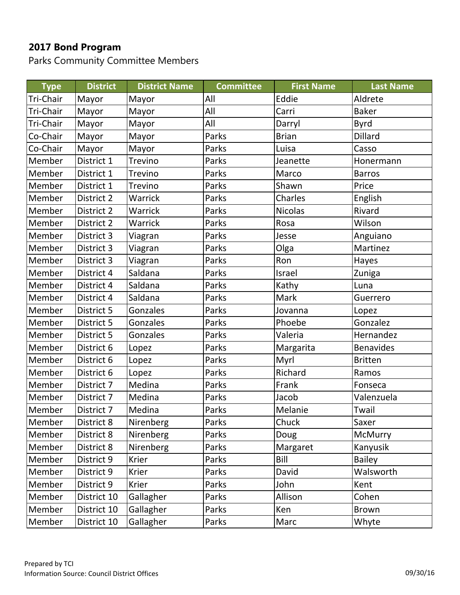Parks Community Committee Members

| <b>Type</b> | <b>District</b> | <b>District Name</b> | <b>Committee</b> | <b>First Name</b> | <b>Last Name</b> |
|-------------|-----------------|----------------------|------------------|-------------------|------------------|
| Tri-Chair   | Mayor           | Mayor                | All              | Eddie             | Aldrete          |
| Tri-Chair   | Mayor           | Mayor                | All              | Carri             | <b>Baker</b>     |
| Tri-Chair   | Mayor           | Mayor                | All              | Darryl            | Byrd             |
| Co-Chair    | Mayor           | Mayor                | Parks            | <b>Brian</b>      | <b>Dillard</b>   |
| Co-Chair    | Mayor           | Mayor                | Parks            | Luisa             | Casso            |
| Member      | District 1      | Trevino              | Parks            | Jeanette          | Honermann        |
| Member      | District 1      | <b>Trevino</b>       | Parks            | Marco             | <b>Barros</b>    |
| Member      | District 1      | Trevino              | Parks            | Shawn             | Price            |
| Member      | District 2      | <b>Warrick</b>       | Parks            | Charles           | English          |
| Member      | District 2      | <b>Warrick</b>       | Parks            | <b>Nicolas</b>    | Rivard           |
| Member      | District 2      | <b>Warrick</b>       | Parks            | Rosa              | Wilson           |
| Member      | District 3      | Viagran              | Parks            | Jesse             | Anguiano         |
| Member      | District 3      | Viagran              | Parks            | Olga              | Martinez         |
| Member      | District 3      | Viagran              | Parks            | Ron               | Hayes            |
| Member      | District 4      | Saldana              | Parks            | Israel            | Zuniga           |
| Member      | District 4      | Saldana              | Parks            | Kathy             | Luna             |
| Member      | District 4      | Saldana              | Parks            | Mark              | Guerrero         |
| Member      | District 5      | <b>Gonzales</b>      | Parks            | Jovanna           | Lopez            |
| Member      | District 5      | Gonzales             | Parks            | Phoebe            | Gonzalez         |
| Member      | District 5      | Gonzales             | Parks            | Valeria           | Hernandez        |
| Member      | District 6      | Lopez                | Parks            | Margarita         | <b>Benavides</b> |
| Member      | District 6      | Lopez                | Parks            | Myrl              | <b>Britten</b>   |
| Member      | District 6      | Lopez                | Parks            | Richard           | Ramos            |
| Member      | District 7      | Medina               | Parks            | Frank             | Fonseca          |
| Member      | District 7      | Medina               | Parks            | Jacob             | Valenzuela       |
| Member      | District 7      | Medina               | Parks            | Melanie           | Twail            |
| Member      | District 8      | Nirenberg            | Parks            | Chuck             | Saxer            |
| Member      | District 8      | Nirenberg            | Parks            | Doug              | McMurry          |
| Member      | District 8      | Nirenberg            | Parks            | Margaret          | Kanyusik         |
| Member      | District 9      | <b>Krier</b>         | Parks            | Bill              | <b>Bailey</b>    |
| Member      | District 9      | Krier                | Parks            | David             | Walsworth        |
| Member      | District 9      | Krier                | Parks            | John              | Kent             |
| Member      | District 10     | Gallagher            | Parks            | Allison           | Cohen            |
| Member      | District 10     | Gallagher            | Parks            | Ken               | <b>Brown</b>     |
| Member      | District 10     | Gallagher            | Parks            | Marc              | Whyte            |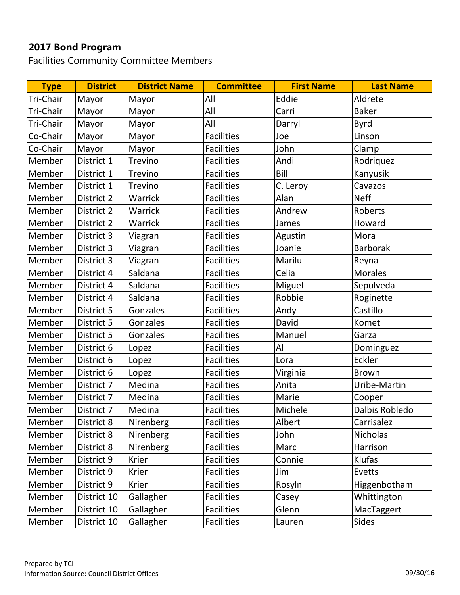Facilities Community Committee Members

| <b>Type</b> | <b>District</b> | <b>District Name</b> | <b>Committee</b>  | <b>First Name</b> | <b>Last Name</b> |
|-------------|-----------------|----------------------|-------------------|-------------------|------------------|
| Tri-Chair   | Mayor           | Mayor                | All               | Eddie             | Aldrete          |
| Tri-Chair   | Mayor           | Mayor                | All               | Carri             | <b>Baker</b>     |
| Tri-Chair   | Mayor           | Mayor                | All               | Darryl            | <b>Byrd</b>      |
| Co-Chair    | Mayor           | Mayor                | <b>Facilities</b> | Joe               | Linson           |
| Co-Chair    | Mayor           | Mayor                | <b>Facilities</b> | John              | Clamp            |
| Member      | District 1      | <b>Trevino</b>       | <b>Facilities</b> | Andi              | Rodriquez        |
| Member      | District 1      | <b>Trevino</b>       | <b>Facilities</b> | Bill              | Kanyusik         |
| Member      | District 1      | <b>Trevino</b>       | <b>Facilities</b> | C. Leroy          | Cavazos          |
| Member      | District 2      | Warrick              | <b>Facilities</b> | Alan              | <b>Neff</b>      |
| Member      | District 2      | <b>Warrick</b>       | <b>Facilities</b> | Andrew            | Roberts          |
| Member      | District 2      | <b>Warrick</b>       | <b>Facilities</b> | James             | Howard           |
| Member      | District 3      | Viagran              | <b>Facilities</b> | Agustin           | Mora             |
| Member      | District 3      | Viagran              | <b>Facilities</b> | Joanie            | <b>Barborak</b>  |
| Member      | District 3      | Viagran              | <b>Facilities</b> | Marilu            | Reyna            |
| Member      | District 4      | Saldana              | <b>Facilities</b> | Celia             | <b>Morales</b>   |
| Member      | District 4      | Saldana              | <b>Facilities</b> | Miguel            | Sepulveda        |
| Member      | District 4      | Saldana              | <b>Facilities</b> | Robbie            | Roginette        |
| Member      | District 5      | Gonzales             | <b>Facilities</b> | Andy              | Castillo         |
| Member      | District 5      | Gonzales             | <b>Facilities</b> | David             | Komet            |
| Member      | District 5      | Gonzales             | <b>Facilities</b> | Manuel            | Garza            |
| Member      | District 6      | Lopez                | <b>Facilities</b> | Al                | Dominguez        |
| Member      | District 6      | Lopez                | <b>Facilities</b> | Lora              | Eckler           |
| Member      | District 6      | Lopez                | <b>Facilities</b> | Virginia          | <b>Brown</b>     |
| Member      | District 7      | Medina               | <b>Facilities</b> | Anita             | Uribe-Martin     |
| Member      | District 7      | Medina               | <b>Facilities</b> | Marie             | Cooper           |
| Member      | District 7      | Medina               | <b>Facilities</b> | Michele           | Dalbis Robledo   |
| Member      | District 8      | Nirenberg            | <b>Facilities</b> | Albert            | Carrisalez       |
| Member      | District 8      | Nirenberg            | <b>Facilities</b> | John              | <b>Nicholas</b>  |
| Member      | District 8      | Nirenberg            | <b>Facilities</b> | Marc              | Harrison         |
| Member      | District 9      | <b>Krier</b>         | <b>Facilities</b> | Connie            | Klufas           |
| Member      | District 9      | <b>Krier</b>         | <b>Facilities</b> | Jim               | Evetts           |
| Member      | District 9      | <b>Krier</b>         | <b>Facilities</b> | Rosyln            | Higgenbotham     |
| Member      | District 10     | Gallagher            | <b>Facilities</b> | Casey             | Whittington      |
| Member      | District 10     | Gallagher            | <b>Facilities</b> | Glenn             | MacTaggert       |
| Member      | District 10     | Gallagher            | <b>Facilities</b> | Lauren            | Sides            |